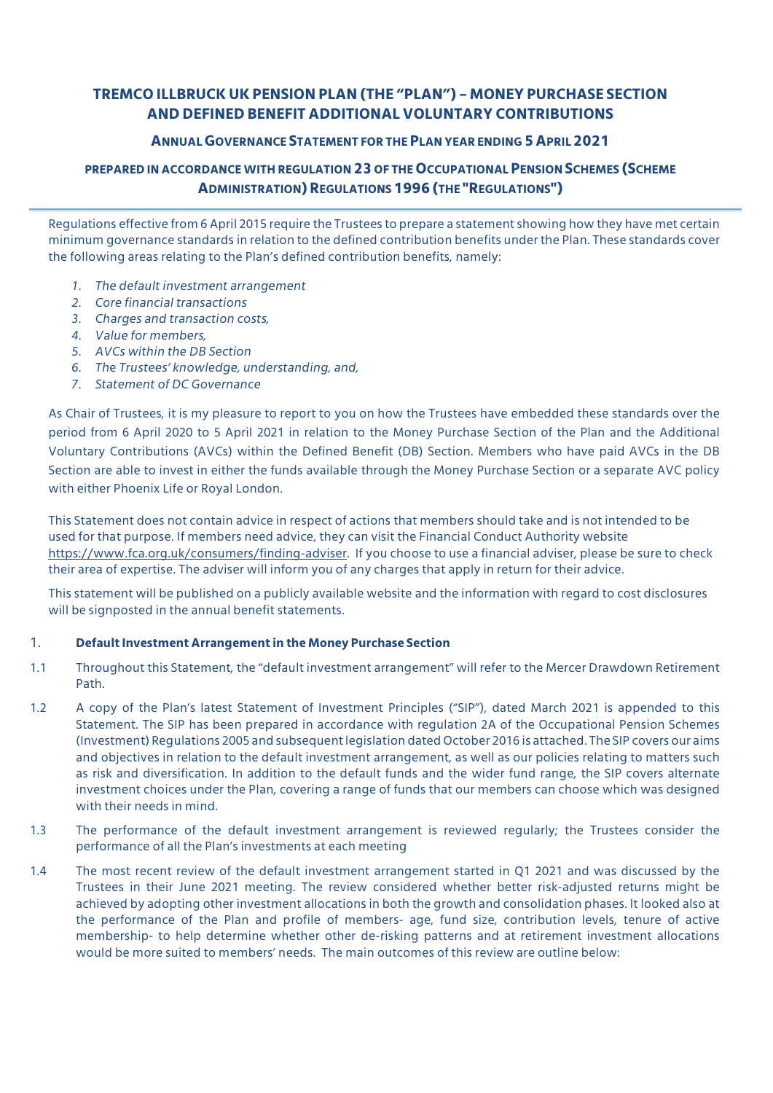# **TREMCO ILLBRUCK UK PENSION PLAN (THE "PLAN") – MONEY PURCHASE SECTION AND DEFINED BENEFIT ADDITIONAL VOLUNTARY CONTRIBUTIONS**

### **ANNUALGOVERNANCE STATEMENT FOR THEPLAN YEAR ENDING 5APRIL2021**

## **PREPARED IN ACCORDANCE WITH REGULATION 23 OF THEOCCUPATIONALPENSION SCHEMES (SCHEME ADMINISTRATION)REGULATIONS1996(THE "REGULATIONS")**

Regulations effective from 6 April 2015 require the Trustees to prepare a statement showing how they have met certain minimum governance standards in relation to the defined contribution benefits under the Plan. These standards cover the following areas relating to the Plan's defined contribution benefits, namely:

- *1. The default investment arrangement*
- *2. Core financial transactions*
- *3. Charges and transaction costs,*
- *4. Value for members,*
- *5. AVCs within the DB Section*
- *6. Th*e *Trustees' knowledge, understanding, and,*
- *7. Statement of DC Governance*

As Chair of Trustees, it is my pleasure to report to you on how the Trustees have embedded these standards over the period from 6 April 2020 to 5 April 2021 in relation to the Money Purchase Section of the Plan and the Additional Voluntary Contributions (AVCs) within the Defined Benefit (DB) Section. Members who have paid AVCs in the DB Section are able to invest in either the funds available through the Money Purchase Section or a separate AVC policy with either Phoenix Life or Royal London.

This Statement does not contain advice in respect of actions that members should take and is not intended to be used for that purpose. If members need advice, they can visit the Financial Conduct Authority website https://www.fca.org.uk/consumers/finding-adviser. If you choose to use a financial adviser, please be sure to check their area of expertise. The adviser will inform you of any charges that apply in return for their advice.

This statement will be published on a publicly available website and the information with regard to cost disclosures will be signposted in the annual benefit statements.

### 1. **Default Investment Arrangement in the Money Purchase Section**

- 1.1 Throughout this Statement, the "default investment arrangement" will refer to the Mercer Drawdown Retirement Path.
- 1.2 A copy of the Plan's latest Statement of Investment Principles ("SIP"), dated March 2021 is appended to this Statement. The SIP has been prepared in accordance with regulation 2A of the Occupational Pension Schemes (Investment) Regulations 2005 and subsequent legislation dated October 2016 is attached. The SIP covers our aims and objectives in relation to the default investment arrangement, as well as our policies relating to matters such as risk and diversification. In addition to the default funds and the wider fund range, the SIP covers alternate investment choices under the Plan, covering a range of funds that our members can choose which was designed with their needs in mind.
- 1.3 The performance of the default investment arrangement is reviewed regularly; the Trustees consider the performance of all the Plan's investments at each meeting
- 1.4 The most recent review of the default investment arrangement started in Q1 2021 and was discussed by the Trustees in their June 2021 meeting. The review considered whether better risk-adjusted returns might be achieved by adopting other investment allocations in both the growth and consolidation phases. It looked also at the performance of the Plan and profile of members- age, fund size, contribution levels, tenure of active membership- to help determine whether other de-risking patterns and at retirement investment allocations would be more suited to members' needs. The main outcomes of this review are outline below: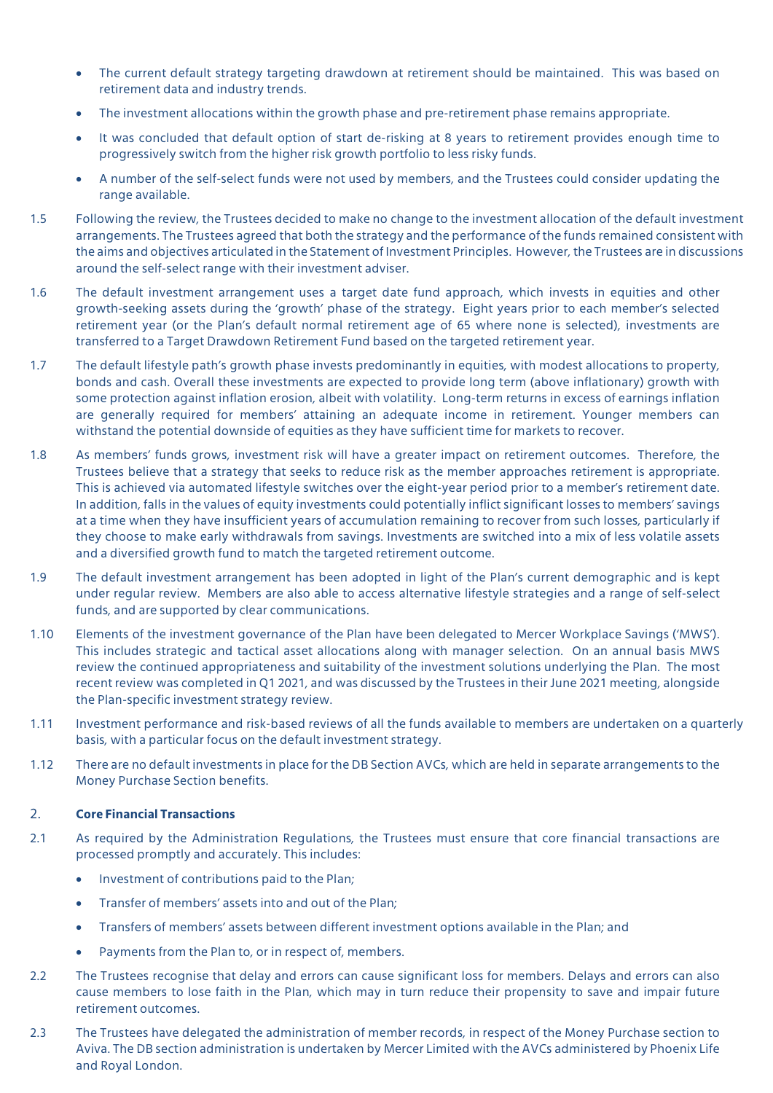- The current default strategy targeting drawdown at retirement should be maintained. This was based on retirement data and industry trends.
- The investment allocations within the growth phase and pre-retirement phase remains appropriate.
- It was concluded that default option of start de-risking at 8 years to retirement provides enough time to progressively switch from the higher risk growth portfolio to less risky funds.
- A number of the self-select funds were not used by members, and the Trustees could consider updating the range available.
- 1.5 Following the review, the Trustees decided to make no change to the investment allocation of the default investment arrangements. The Trustees agreed that both the strategy and the performance of the funds remained consistent with the aims and objectives articulated in the Statement of Investment Principles. However, the Trustees are in discussions around the self-select range with their investment adviser.
- 1.6 The default investment arrangement uses a target date fund approach, which invests in equities and other growth-seeking assets during the 'growth' phase of the strategy. Eight years prior to each member's selected retirement year (or the Plan's default normal retirement age of 65 where none is selected), investments are transferred to a Target Drawdown Retirement Fund based on the targeted retirement year.
- 1.7 The default lifestyle path's growth phase invests predominantly in equities, with modest allocations to property, bonds and cash. Overall these investments are expected to provide long term (above inflationary) growth with some protection against inflation erosion, albeit with volatility. Long-term returns in excess of earnings inflation are generally required for members' attaining an adequate income in retirement. Younger members can withstand the potential downside of equities as they have sufficient time for markets to recover.
- 1.8 As members' funds grows, investment risk will have a greater impact on retirement outcomes. Therefore, the Trustees believe that a strategy that seeks to reduce risk as the member approaches retirement is appropriate. This is achieved via automated lifestyle switches over the eight-year period prior to a member's retirement date. In addition, falls in the values of equity investments could potentially inflict significant losses to members' savings at a time when they have insufficient years of accumulation remaining to recover from such losses, particularly if they choose to make early withdrawals from savings. Investments are switched into a mix of less volatile assets and a diversified growth fund to match the targeted retirement outcome.
- 1.9 The default investment arrangement has been adopted in light of the Plan's current demographic and is kept under regular review. Members are also able to access alternative lifestyle strategies and a range of self-select funds, and are supported by clear communications.
- 1.10 Elements of the investment governance of the Plan have been delegated to Mercer Workplace Savings ('MWS'). This includes strategic and tactical asset allocations along with manager selection. On an annual basis MWS review the continued appropriateness and suitability of the investment solutions underlying the Plan. The most recent review was completed in Q1 2021, and was discussed by the Trustees in their June 2021 meeting, alongside the Plan-specific investment strategy review.
- 1.11 Investment performance and risk-based reviews of all the funds available to members are undertaken on a quarterly basis, with a particular focus on the default investment strategy.
- 1.12 There are no default investments in place for the DB Section AVCs, which are held in separate arrangements to the Money Purchase Section benefits.

#### 2. **Core Financial Transactions**

- 2.1 As required by the Administration Regulations, the Trustees must ensure that core financial transactions are processed promptly and accurately. This includes:
	- Investment of contributions paid to the Plan;
	- Transfer of members' assets into and out of the Plan;
	- Transfers of members' assets between different investment options available in the Plan; and
	- Payments from the Plan to, or in respect of, members.
- 2.2 The Trustees recognise that delay and errors can cause significant loss for members. Delays and errors can also cause members to lose faith in the Plan, which may in turn reduce their propensity to save and impair future retirement outcomes.
- 2.3 The Trustees have delegated the administration of member records, in respect of the Money Purchase section to Aviva. The DB section administration is undertaken by Mercer Limited with the AVCs administered by Phoenix Life and Royal London.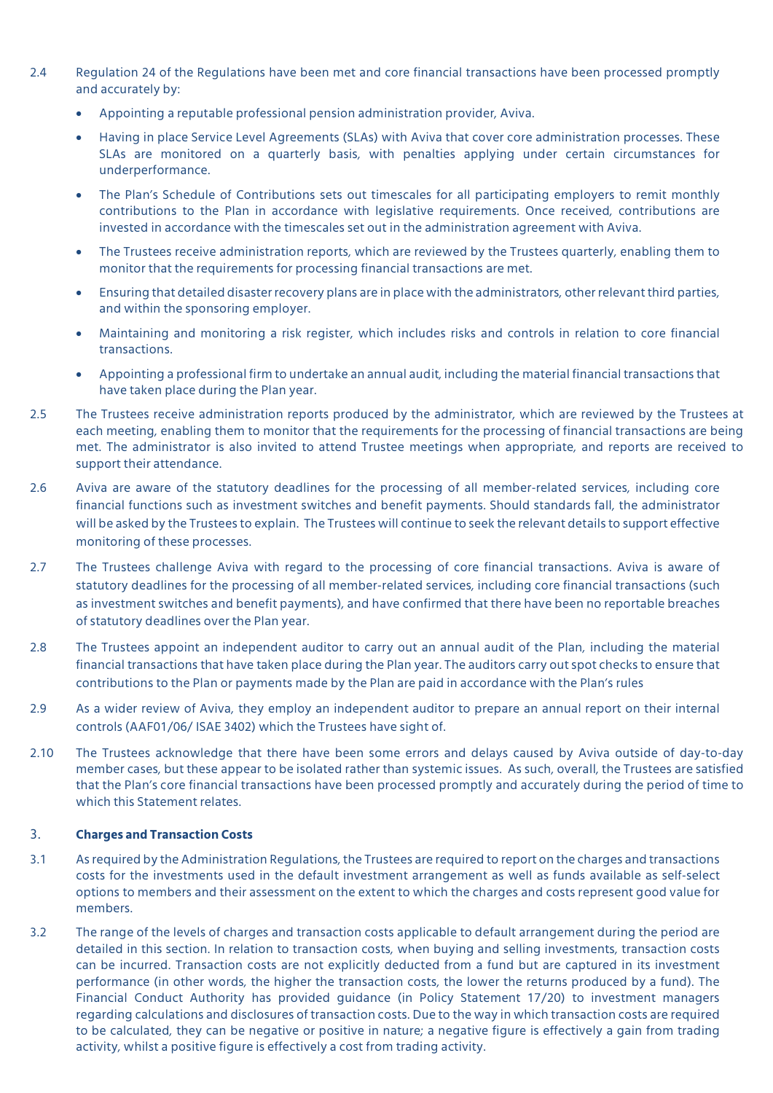- 2.4 Regulation 24 of the Regulations have been met and core financial transactions have been processed promptly and accurately by:
	- Appointing a reputable professional pension administration provider, Aviva.
	- Having in place Service Level Agreements (SLAs) with Aviva that cover core administration processes. These SLAs are monitored on a quarterly basis, with penalties applying under certain circumstances for underperformance.
	- The Plan's Schedule of Contributions sets out timescales for all participating employers to remit monthly contributions to the Plan in accordance with legislative requirements. Once received, contributions are invested in accordance with the timescales set out in the administration agreement with Aviva.
	- The Trustees receive administration reports, which are reviewed by the Trustees quarterly, enabling them to monitor that the requirements for processing financial transactions are met.
	- Ensuring that detailed disaster recovery plans are in place with the administrators, other relevant third parties, and within the sponsoring employer.
	- Maintaining and monitoring a risk register, which includes risks and controls in relation to core financial transactions.
	- Appointing a professional firm to undertake an annual audit, including the material financial transactions that have taken place during the Plan year.
- 2.5 The Trustees receive administration reports produced by the administrator, which are reviewed by the Trustees at each meeting, enabling them to monitor that the requirements for the processing of financial transactions are being met. The administrator is also invited to attend Trustee meetings when appropriate, and reports are received to support their attendance.
- 2.6 Aviva are aware of the statutory deadlines for the processing of all member-related services, including core financial functions such as investment switches and benefit payments. Should standards fall, the administrator will be asked by the Trustees to explain. The Trustees will continue to seek the relevant details to support effective monitoring of these processes.
- 2.7 The Trustees challenge Aviva with regard to the processing of core financial transactions. Aviva is aware of statutory deadlines for the processing of all member-related services, including core financial transactions (such as investment switches and benefit payments), and have confirmed that there have been no reportable breaches of statutory deadlines over the Plan year.
- 2.8 The Trustees appoint an independent auditor to carry out an annual audit of the Plan, including the material financial transactions that have taken place during the Plan year. The auditors carry out spot checks to ensure that contributions to the Plan or payments made by the Plan are paid in accordance with the Plan's rules
- 2.9 As a wider review of Aviva, they employ an independent auditor to prepare an annual report on their internal controls (AAF01/06/ ISAE 3402) which the Trustees have sight of.
- 2.10 The Trustees acknowledge that there have been some errors and delays caused by Aviva outside of day-to-day member cases, but these appear to be isolated rather than systemic issues. As such, overall, the Trustees are satisfied that the Plan's core financial transactions have been processed promptly and accurately during the period of time to which this Statement relates.

#### 3. **Charges and Transaction Costs**

- 3.1 As required by the Administration Regulations, the Trustees are required to report on the charges and transactions costs for the investments used in the default investment arrangement as well as funds available as self-select options to members and their assessment on the extent to which the charges and costs represent good value for members.
- 3.2 The range of the levels of charges and transaction costs applicable to default arrangement during the period are detailed in this section. In relation to transaction costs, when buying and selling investments, transaction costs can be incurred. Transaction costs are not explicitly deducted from a fund but are captured in its investment performance (in other words, the higher the transaction costs, the lower the returns produced by a fund). The Financial Conduct Authority has provided guidance (in Policy Statement 17/20) to investment managers regarding calculations and disclosures of transaction costs. Due to the way in which transaction costs are required to be calculated, they can be negative or positive in nature; a negative figure is effectively a gain from trading activity, whilst a positive figure is effectively a cost from trading activity.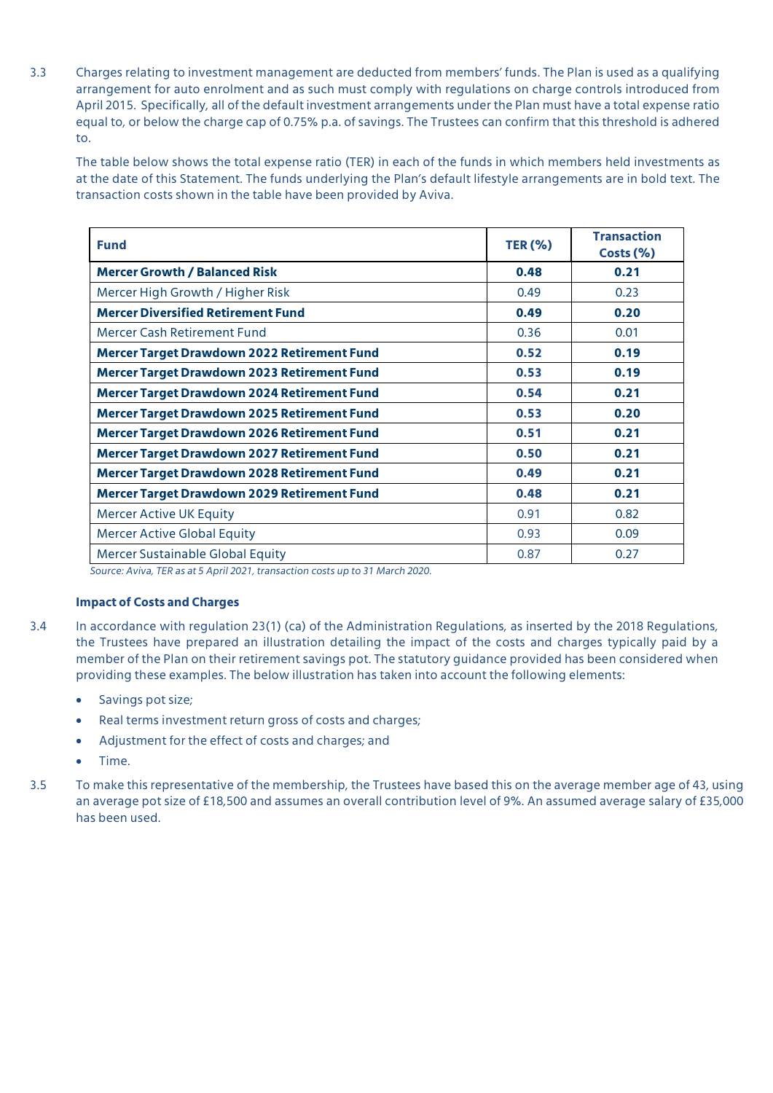3.3 Charges relating to investment management are deducted from members' funds. The Plan is used as a qualifying arrangement for auto enrolment and as such must comply with regulations on charge controls introduced from April 2015. Specifically, all of the default investment arrangements under the Plan must have a total expense ratio equal to, or below the charge cap of 0.75% p.a. of savings. The Trustees can confirm that this threshold is adhered to.

The table below shows the total expense ratio (TER) in each of the funds in which members held investments as at the date of this Statement. The funds underlying the Plan's default lifestyle arrangements are in bold text. The transaction costs shown in the table have been provided by Aviva.

| <b>Fund</b>                                        | <b>TER (%)</b> | <b>Transaction</b><br>Costs (%) |  |
|----------------------------------------------------|----------------|---------------------------------|--|
| <b>Mercer Growth / Balanced Risk</b>               | 0.48           | 0.21                            |  |
| Mercer High Growth / Higher Risk                   | 0.49           | 0.23                            |  |
| <b>Mercer Diversified Retirement Fund</b>          | 0.49           | 0.20                            |  |
| Mercer Cash Retirement Fund                        | 0.36           | 0.01                            |  |
| <b>Mercer Target Drawdown 2022 Retirement Fund</b> | 0.52           | 0.19                            |  |
| <b>Mercer Target Drawdown 2023 Retirement Fund</b> | 0.53           | 0.19                            |  |
| <b>Mercer Target Drawdown 2024 Retirement Fund</b> | 0.54           | 0.21                            |  |
| <b>Mercer Target Drawdown 2025 Retirement Fund</b> | 0.53           | 0.20                            |  |
| <b>Mercer Target Drawdown 2026 Retirement Fund</b> | 0.51           | 0.21                            |  |
| <b>Mercer Target Drawdown 2027 Retirement Fund</b> | 0.50           | 0.21                            |  |
| Mercer Target Drawdown 2028 Retirement Fund        | 0.49           | 0.21                            |  |
| <b>Mercer Target Drawdown 2029 Retirement Fund</b> | 0.48           | 0.21                            |  |
| <b>Mercer Active UK Equity</b>                     | 0.91           | 0.82                            |  |
| <b>Mercer Active Global Equity</b>                 | 0.93           | 0.09                            |  |
| Mercer Sustainable Global Equity                   | 0.87           | 0.27                            |  |

*Source: Aviva, TER as at 5 April 2021, transaction costs up to 31 March 2020.*

### **Impact of Costs and Charges**

- 3.4 In accordance with regulation 23(1) (ca) of the Administration Regulations, as inserted by the 2018 Regulations, the Trustees have prepared an illustration detailing the impact of the costs and charges typically paid by a member of the Plan on their retirement savings pot. The statutory guidance provided has been considered when providing these examples. The below illustration has taken into account the following elements:
	- Savings pot size;
	- Real terms investment return gross of costs and charges;
	- Adjustment for the effect of costs and charges; and
	- Time.
- 3.5 To make this representative of the membership, the Trustees have based this on the average member age of 43, using an average pot size of £18,500 and assumes an overall contribution level of 9%. An assumed average salary of £35,000 has been used.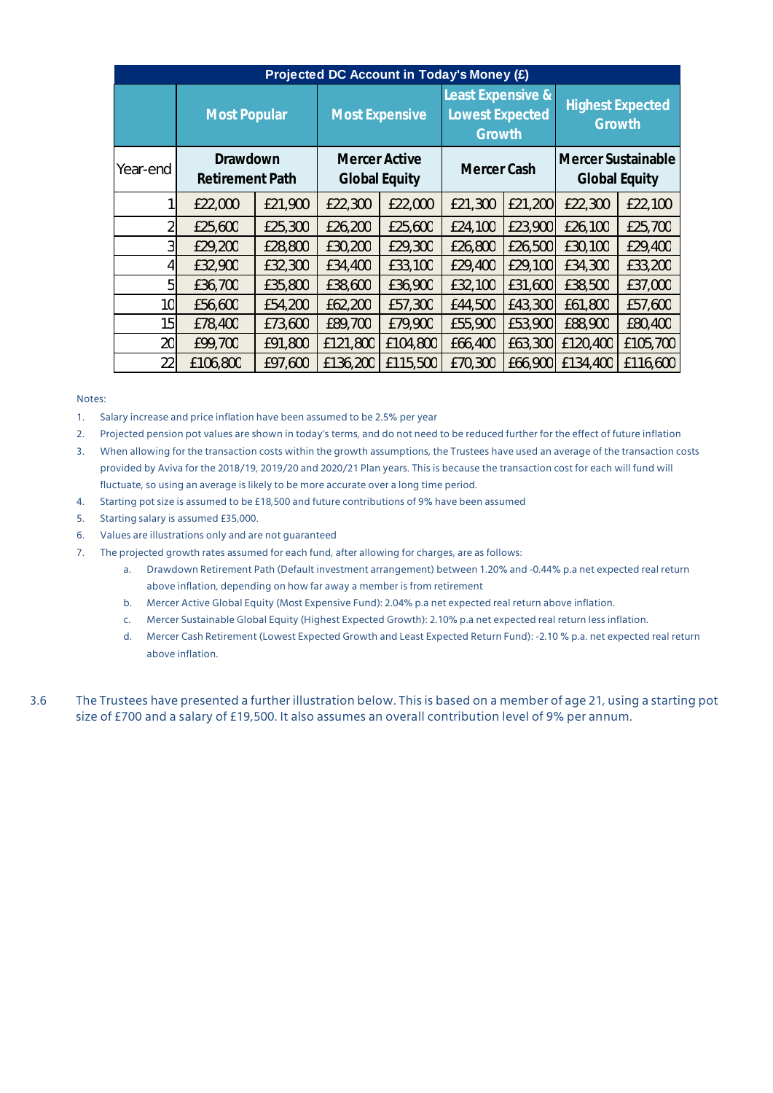| Projected DC Account in Today's Money (£) |                                    |         |                                              |          |                                                       |         |                                            |          |
|-------------------------------------------|------------------------------------|---------|----------------------------------------------|----------|-------------------------------------------------------|---------|--------------------------------------------|----------|
|                                           | <b>Most Popular</b>                |         | <b>Most Expensive</b>                        |          | Least Expensive &<br><b>Lowest Expected</b><br>Growth |         | <b>Highest Expected</b><br>Growth          |          |
| Year-end                                  | Drawdown<br><b>Retirement Path</b> |         | <b>Mercer Active</b><br><b>Global Equity</b> |          | Mercer Cash                                           |         | Mercer Sustainable<br><b>Global Equity</b> |          |
|                                           | £22,000                            | £21,900 | £22,300                                      | £22,000  | £21,300                                               | £21,200 | £22,300                                    | £22,100  |
| 2                                         | £25,600                            | £25,300 | £26,200                                      | £25,600  | £24,100                                               | £23,900 | £26,100                                    | £25,700  |
| 3                                         | £29,200                            | £28,800 | £30,200                                      | £29,300  | £26,800                                               | £26,500 | £30,100                                    | £29,400  |
| 4                                         | £32,900                            | £32,300 | £34,400                                      | £33,100  | £29,400                                               | £29,100 | £34,300                                    | £33,200  |
| 5                                         | £36,700                            | £35,800 | £38,600                                      | £36,900  | £32,100                                               | £31,600 | £38,500                                    | £37,000  |
| 10                                        | £56,600                            | £54,200 | £62,200                                      | £57,300  | £44,500                                               | £43,300 | £61,800                                    | £57,600  |
| 15                                        | £78,400                            | £73,600 | £89,700                                      | £79,900  | £55,900                                               | £53,900 | £88,900                                    | £80,400  |
| 20                                        | £99,700                            | £91,800 | £121,800                                     | £104,800 | £66,400                                               | £63,300 | £120,400                                   | £105,700 |
| 22                                        | £106,800                           | £97,600 | £136,200                                     | £115,500 | £70,300                                               | £66,900 | £134,400                                   | £116,600 |

#### Notes:

1. Salary increase and price inflation have been assumed to be 2.5% per year

2. Projected pension pot values are shown in today's terms, and do not need to be reduced further for the effect of future inflation

3. When allowing for the transaction costs within the growth assumptions, the Trustees have used an average of the transaction costs provided by Aviva for the 2018/19, 2019/20 and 2020/21 Plan years. This is because the transaction cost for each will fund will fluctuate, so using an average is likely to be more accurate over a long time period.

- 4. Starting pot size is assumed to be £18,500 and future contributions of 9% have been assumed
- 5. Starting salary is assumed £35,000.
- 6. Values are illustrations only and are not guaranteed
- 7. The projected growth rates assumed for each fund, after allowing for charges, are as follows:
	- a. Drawdown Retirement Path (Default investment arrangement) between 1.20% and -0.44% p.a net expected real return above inflation, depending on how far away a member is from retirement
	- b. Mercer Active Global Equity (Most Expensive Fund): 2.04% p.a net expected real return above inflation.
	- c. Mercer Sustainable Global Equity (Highest Expected Growth): 2.10% p.a net expected real return less inflation.
	- d. Mercer Cash Retirement (Lowest Expected Growth and Least Expected Return Fund): -2.10 % p.a. net expected real return above inflation.

3.6 The Trustees have presented a further illustration below. This is based on a member of age 21, using a starting pot size of £700 and a salary of £19,500. It also assumes an overall contribution level of 9% per annum.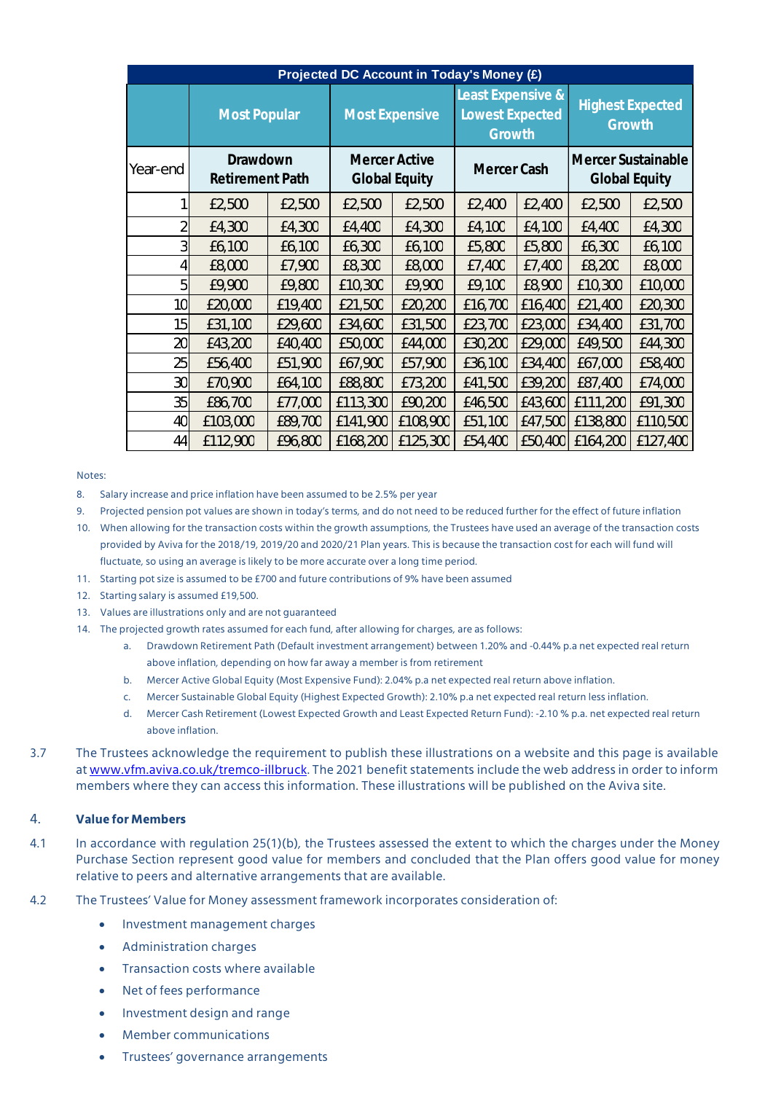| Projected DC Account in Today's Money (£) |                                    |         |                                       |          |                                                       |         |                                            |          |
|-------------------------------------------|------------------------------------|---------|---------------------------------------|----------|-------------------------------------------------------|---------|--------------------------------------------|----------|
|                                           | <b>Most Popular</b>                |         | <b>Most Expensive</b>                 |          | Least Expensive &<br><b>Lowest Expected</b><br>Growth |         | <b>Highest Expected</b><br>Growth          |          |
| Year-end                                  | Drawdown<br><b>Retirement Path</b> |         | Mercer Active<br><b>Global Equity</b> |          | Mercer Cash                                           |         | Mercer Sustainable<br><b>Global Equity</b> |          |
|                                           | £2,500                             | £2,500  | £2,500                                | £2,500   | £2,400                                                | £2,400  | £2,500                                     | £2,500   |
| 2                                         | £4,300                             | £4,300  | £4,400                                | £4,300   | £4,100                                                | £4,100  | £4,400                                     | £4,300   |
| 3                                         | £6,100                             | £6,100  | £6,300                                | £6,100   | £5,800                                                | £5,800  | £6,300                                     | £6,100   |
| 4                                         | £8,000                             | £7,900  | £8,300                                | £8,000   | £7,400                                                | £7,400  | £8,200                                     | £8,000   |
| 5                                         | £9,900                             | £9,800  | £10,300                               | £9,900   | £9,100                                                | £8,900  | £10,300                                    | £10,000  |
| 10                                        | £20,000                            | £19,400 | £21,500                               | £20,200  | £16,700                                               | £16,400 | £21,400                                    | £20,300  |
| 15                                        | £31,100                            | £29,600 | £34,600                               | £31,500  | £23,700                                               | £23,000 | £34,400                                    | £31,700  |
| 20                                        | £43,200                            | £40,400 | £50,000                               | £44,000  | £30,200                                               | £29,000 | £49,500                                    | £44,300  |
| 25                                        | £56,400                            | £51,900 | £67,900                               | £57,900  | £36,100                                               | £34,400 | £67,000                                    | £58,400  |
| 30                                        | £70,900                            | £64,100 | £88,800                               | £73,200  | £41,500                                               | £39,200 | £87,400                                    | £74,000  |
| 35                                        | £86,700                            | £77,000 | £113,300                              | £90,200  | £46,500                                               | £43,600 | £111,200                                   | £91,300  |
| 40                                        | £103,000                           | £89,700 | £141,900                              | £108,900 | £51,100                                               | £47,500 | £138,800                                   | £110,500 |
| 44                                        | £112,900                           | £96,800 | £168,200                              | £125,300 | £54,400                                               | £50,400 | £164,200                                   | £127,400 |

#### Notes:

- 8. Salary increase and price inflation have been assumed to be 2.5% per year
- 9. Projected pension pot values are shown in today's terms, and do not need to be reduced further for the effect of future inflation
- 10. When allowing for the transaction costs within the growth assumptions, the Trustees have used an average of the transaction costs provided by Aviva for the 2018/19, 2019/20 and 2020/21 Plan years. This is because the transaction cost for each will fund will fluctuate, so using an average is likely to be more accurate over a long time period.
- 11. Starting pot size is assumed to be £700 and future contributions of 9% have been assumed
- 12. Starting salary is assumed £19,500.
- 13. Values are illustrations only and are not guaranteed
- 14. The projected growth rates assumed for each fund, after allowing for charges, are as follows:
	- a. Drawdown Retirement Path (Default investment arrangement) between 1.20% and -0.44% p.a net expected real return above inflation, depending on how far away a member is from retirement
	- b. Mercer Active Global Equity (Most Expensive Fund): 2.04% p.a net expected real return above inflation.
	- c. Mercer Sustainable Global Equity (Highest Expected Growth): 2.10% p.a net expected real return less inflation.
	- d. Mercer Cash Retirement (Lowest Expected Growth and Least Expected Return Fund): -2.10 % p.a. net expected real return above inflation.
- 3.7 The Trustees acknowledge the requirement to publish these illustrations on a website and this page is available at www.vfm.aviva.co.uk/tremco-illbruck. The 2021 benefit statements include the web address in order to inform members where they can access this information. These illustrations will be published on the Aviva site.

#### 4. **Value for Members**

- 4.1 In accordance with regulation 25(1)(b), the Trustees assessed the extent to which the charges under the Money Purchase Section represent good value for members and concluded that the Plan offers good value for money relative to peers and alternative arrangements that are available.
- 4.2 The Trustees' Value for Money assessment framework incorporates consideration of:
	- Investment management charges
	- Administration charges
	- Transaction costs where available
	- Net of fees performance
	- Investment design and range
	- Member communications
	- Trustees' governance arrangements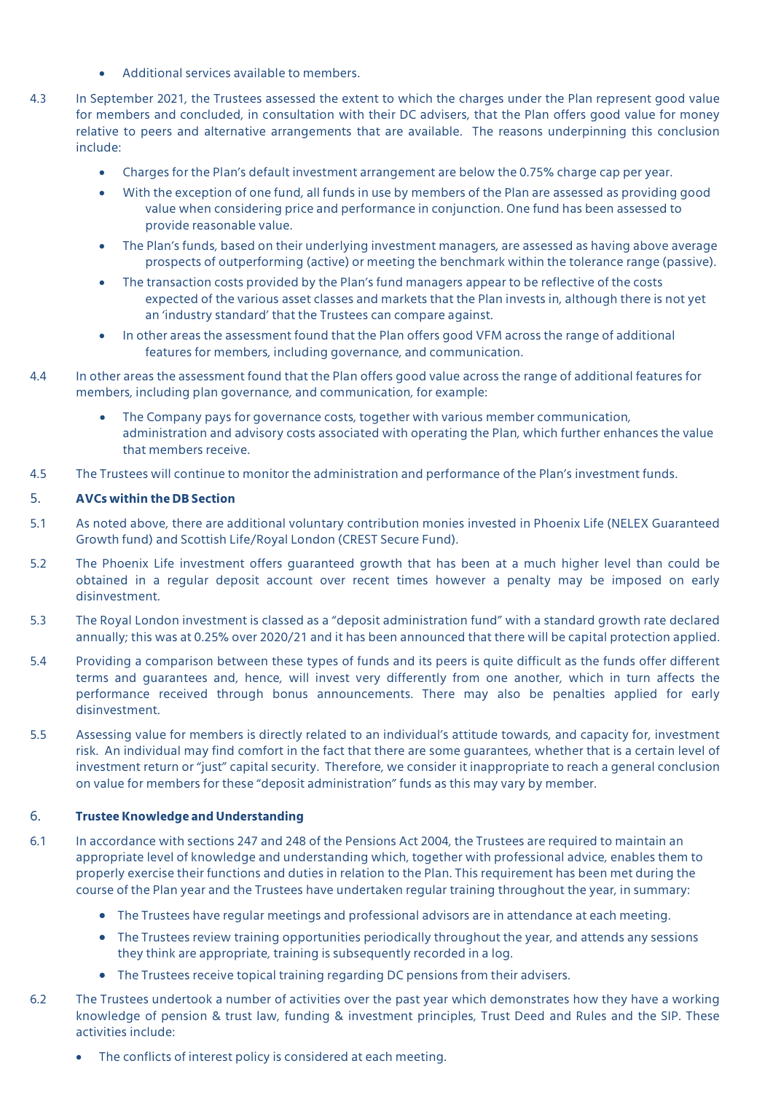- Additional services available to members.
- 4.3 In September 2021, the Trustees assessed the extent to which the charges under the Plan represent good value for members and concluded, in consultation with their DC advisers, that the Plan offers good value for money relative to peers and alternative arrangements that are available. The reasons underpinning this conclusion include:
	- Charges for the Plan's default investment arrangement are below the 0.75% charge cap per year.
	- With the exception of one fund, all funds in use by members of the Plan are assessed as providing good value when considering price and performance in conjunction. One fund has been assessed to provide reasonable value.
	- The Plan's funds, based on their underlying investment managers, are assessed as having above average prospects of outperforming (active) or meeting the benchmark within the tolerance range (passive).
	- The transaction costs provided by the Plan's fund managers appear to be reflective of the costs expected of the various asset classes and markets that the Plan invests in, although there is not yet an 'industry standard' that the Trustees can compare against.
	- In other areas the assessment found that the Plan offers good VFM across the range of additional features for members, including governance, and communication.
- 4.4 In other areas the assessment found that the Plan offers good value across the range of additional features for members, including plan governance, and communication, for example:
	- The Company pays for governance costs, together with various member communication, administration and advisory costs associated with operating the Plan, which further enhances the value that members receive.
- 4.5 The Trustees will continue to monitor the administration and performance of the Plan's investment funds.

### 5. **AVCs within the DB Section**

- 5.1 As noted above, there are additional voluntary contribution monies invested in Phoenix Life (NELEX Guaranteed Growth fund) and Scottish Life/Royal London (CREST Secure Fund).
- 5.2 The Phoenix Life investment offers guaranteed growth that has been at a much higher level than could be obtained in a regular deposit account over recent times however a penalty may be imposed on early disinvestment.
- 5.3 The Royal London investment is classed as a "deposit administration fund" with a standard growth rate declared annually; this was at 0.25% over 2020/21 and it has been announced that there will be capital protection applied.
- 5.4 Providing a comparison between these types of funds and its peers is quite difficult as the funds offer different terms and guarantees and, hence, will invest very differently from one another, which in turn affects the performance received through bonus announcements. There may also be penalties applied for early disinvestment.
- 5.5 Assessing value for members is directly related to an individual's attitude towards, and capacity for, investment risk. An individual may find comfort in the fact that there are some guarantees, whether that is a certain level of investment return or "just" capital security. Therefore, we consider it inappropriate to reach a general conclusion on value for members for these "deposit administration" funds as this may vary by member.

### 6. **Trustee Knowledge and Understanding**

- 6.1 In accordance with sections 247 and 248 of the Pensions Act 2004, the Trustees are required to maintain an appropriate level of knowledge and understanding which, together with professional advice, enables them to properly exercise their functions and duties in relation to the Plan. This requirement has been met during the course of the Plan year and the Trustees have undertaken regular training throughout the year, in summary:
	- The Trustees have regular meetings and professional advisors are in attendance at each meeting.
	- The Trustees review training opportunities periodically throughout the year, and attends any sessions they think are appropriate, training is subsequently recorded in a log.
	- The Trustees receive topical training regarding DC pensions from their advisers.
- 6.2 The Trustees undertook a number of activities over the past year which demonstrates how they have a working knowledge of pension & trust law, funding & investment principles, Trust Deed and Rules and the SIP. These activities include:
	- The conflicts of interest policy is considered at each meeting.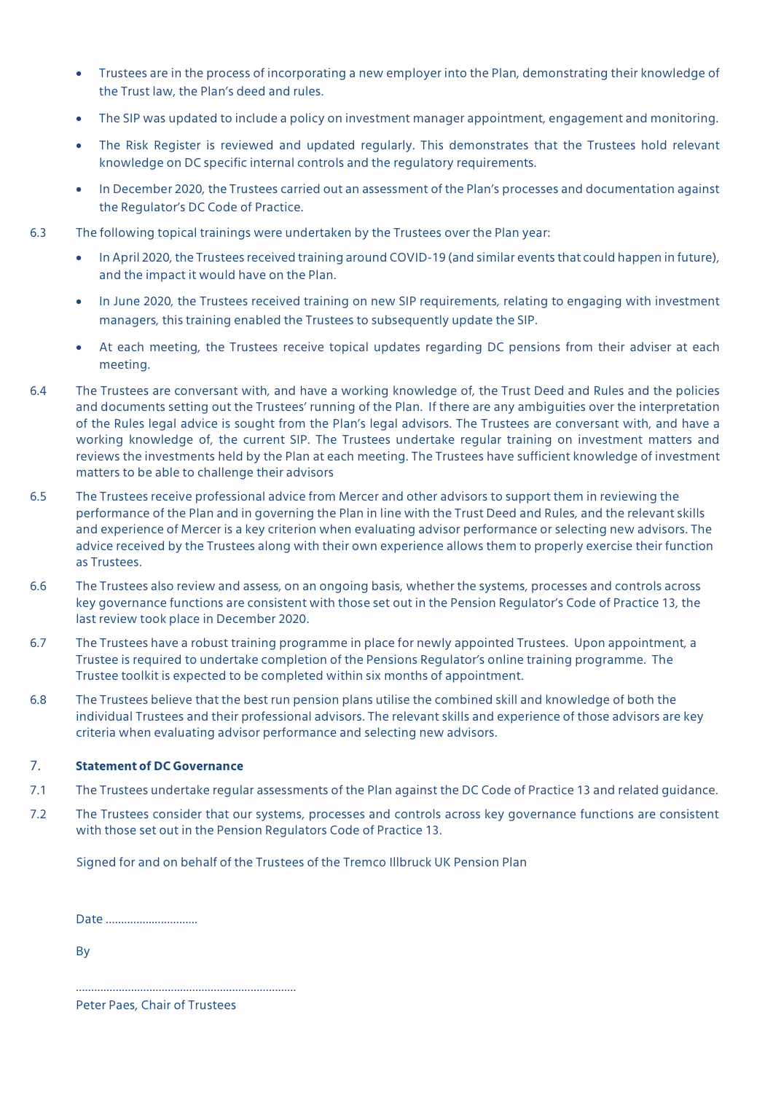- Trustees are in the process of incorporating a new employer into the Plan, demonstrating their knowledge of the Trust law, the Plan's deed and rules.
- The SIP was updated to include a policy on investment manager appointment, engagement and monitoring.
- The Risk Register is reviewed and updated regularly. This demonstrates that the Trustees hold relevant knowledge on DC specific internal controls and the regulatory requirements.
- In December 2020, the Trustees carried out an assessment of the Plan's processes and documentation against the Regulator's DC Code of Practice.
- 6.3 The following topical trainings were undertaken by the Trustees over the Plan year:
	- In April 2020, the Trustees received training around COVID-19 (and similar events that could happen in future), and the impact it would have on the Plan.
	- In June 2020, the Trustees received training on new SIP requirements, relating to engaging with investment managers, this training enabled the Trustees to subsequently update the SIP.
	- At each meeting, the Trustees receive topical updates regarding DC pensions from their adviser at each meeting.
- 6.4 The Trustees are conversant with, and have a working knowledge of, the Trust Deed and Rules and the policies and documents setting out the Trustees' running of the Plan. If there are any ambiguities over the interpretation of the Rules legal advice is sought from the Plan's legal advisors. The Trustees are conversant with, and have a working knowledge of, the current SIP. The Trustees undertake regular training on investment matters and reviews the investments held by the Plan at each meeting. The Trustees have sufficient knowledge of investment matters to be able to challenge their advisors
- 6.5 The Trustees receive professional advice from Mercer and other advisors to support them in reviewing the performance of the Plan and in governing the Plan in line with the Trust Deed and Rules, and the relevant skills and experience of Mercer is a key criterion when evaluating advisor performance or selecting new advisors. The advice received by the Trustees along with their own experience allows them to properly exercise their function as Trustees.
- 6.6 The Trustees also review and assess, on an ongoing basis, whether the systems, processes and controls across key governance functions are consistent with those set out in the Pension Regulator's Code of Practice 13, the last review took place in December 2020.
- 6.7 The Trustees have a robust training programme in place for newly appointed Trustees. Upon appointment, a Trustee is required to undertake completion of the Pensions Regulator's online training programme. The Trustee toolkit is expected to be completed within six months of appointment.
- 6.8 The Trustees believe that the best run pension plans utilise the combined skill and knowledge of both the individual Trustees and their professional advisors. The relevant skills and experience of those advisors are key criteria when evaluating advisor performance and selecting new advisors.

### 7. **Statement of DC Governance**

- 7.1 The Trustees undertake regular assessments of the Plan against the DC Code of Practice 13 and related guidance.
- 7.2 The Trustees consider that our systems, processes and controls across key governance functions are consistent with those set out in the Pension Regulators Code of Practice 13.

Signed for and on behalf of the Trustees of the Tremco Illbruck UK Pension Plan

Date ………………………...

By

Peter Paes, Chair of Trustees

………………………………………………………………